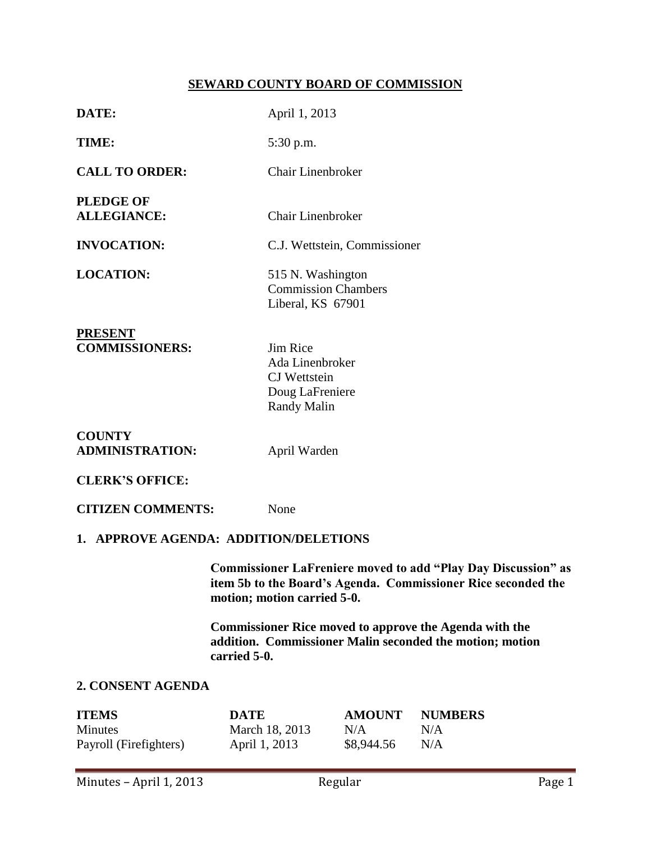# **SEWARD COUNTY BOARD OF COMMISSION**

| DATE:                                             | April 1, 2013                                                                                                                                                        |                                                                                                                           |                              |  |  |
|---------------------------------------------------|----------------------------------------------------------------------------------------------------------------------------------------------------------------------|---------------------------------------------------------------------------------------------------------------------------|------------------------------|--|--|
| TIME:                                             | 5:30 p.m.                                                                                                                                                            |                                                                                                                           |                              |  |  |
| <b>CALL TO ORDER:</b>                             | <b>Chair Linenbroker</b>                                                                                                                                             |                                                                                                                           |                              |  |  |
| <b>PLEDGE OF</b><br><b>ALLEGIANCE:</b>            | <b>Chair Linenbroker</b>                                                                                                                                             |                                                                                                                           |                              |  |  |
| <b>INVOCATION:</b>                                |                                                                                                                                                                      | C.J. Wettstein, Commissioner                                                                                              |                              |  |  |
| <b>LOCATION:</b>                                  |                                                                                                                                                                      | 515 N. Washington<br><b>Commission Chambers</b><br>Liberal, KS 67901                                                      |                              |  |  |
| <b>PRESENT</b><br><b>COMMISSIONERS:</b>           | Jim Rice<br>Ada Linenbroker<br>CJ Wettstein<br>Doug LaFreniere<br><b>Randy Malin</b>                                                                                 |                                                                                                                           |                              |  |  |
| <b>COUNTY</b><br><b>ADMINISTRATION:</b>           | April Warden                                                                                                                                                         |                                                                                                                           |                              |  |  |
| <b>CLERK'S OFFICE:</b>                            |                                                                                                                                                                      |                                                                                                                           |                              |  |  |
| <b>CITIZEN COMMENTS:</b>                          | None                                                                                                                                                                 |                                                                                                                           |                              |  |  |
| 1. APPROVE AGENDA: ADDITION/DELETIONS             |                                                                                                                                                                      |                                                                                                                           |                              |  |  |
|                                                   | <b>Commissioner LaFreniere moved to add "Play Day Discussion" as</b><br>item 5b to the Board's Agenda. Commissioner Rice seconded the<br>motion; motion carried 5-0. |                                                                                                                           |                              |  |  |
|                                                   | carried 5-0.                                                                                                                                                         | <b>Commissioner Rice moved to approve the Agenda with the</b><br>addition. Commissioner Malin seconded the motion; motion |                              |  |  |
| 2. CONSENT AGENDA                                 |                                                                                                                                                                      |                                                                                                                           |                              |  |  |
| <b>ITEMS</b><br>Minutes<br>Payroll (Firefighters) | <b>DATE</b><br>March 18, 2013<br>April 1, 2013                                                                                                                       | <b>AMOUNT</b><br>N/A<br>\$8,944.56                                                                                        | <b>NUMBERS</b><br>N/A<br>N/A |  |  |
| Minutes - April 1, 2013                           |                                                                                                                                                                      | Regular                                                                                                                   | Page 1                       |  |  |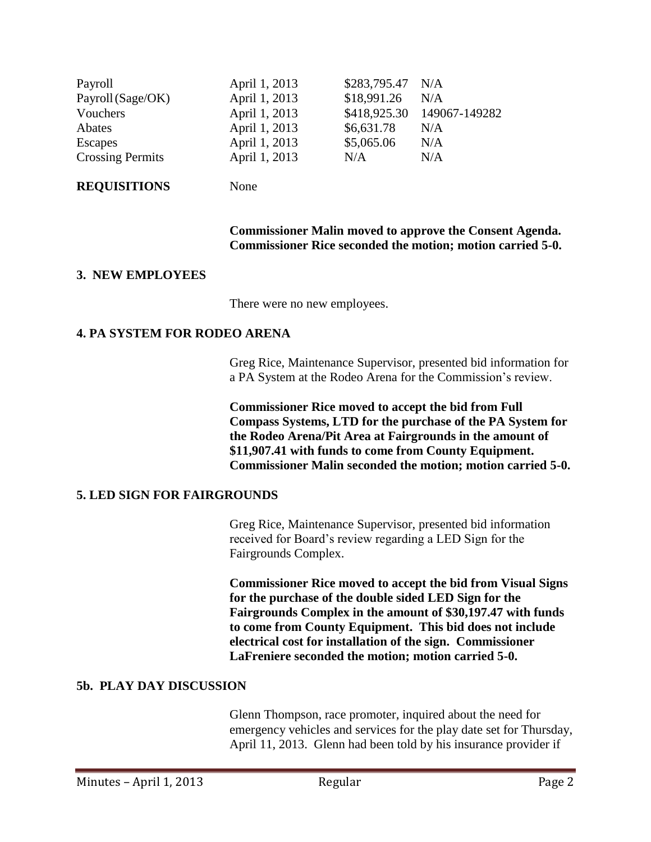| Payroll<br>Payroll (Sage/OK)<br>Vouchers<br>Abates<br>Escapes | April 1, 2013<br>April 1, 2013<br>April 1, 2013<br>April 1, 2013<br>April 1, 2013 | \$283,795.47 N/A<br>\$18,991.26<br>\$418,925.30<br>\$6,631.78<br>\$5,065.06 | N/A<br>149067-149282<br>N/A<br>N/A |
|---------------------------------------------------------------|-----------------------------------------------------------------------------------|-----------------------------------------------------------------------------|------------------------------------|
|                                                               |                                                                                   |                                                                             |                                    |
| <b>Crossing Permits</b>                                       | April 1, 2013                                                                     | N/A                                                                         | N/A                                |

#### **REQUISITIONS** None

### **Commissioner Malin moved to approve the Consent Agenda. Commissioner Rice seconded the motion; motion carried 5-0.**

# **3. NEW EMPLOYEES**

There were no new employees.

### **4. PA SYSTEM FOR RODEO ARENA**

Greg Rice, Maintenance Supervisor, presented bid information for a PA System at the Rodeo Arena for the Commission's review.

**Commissioner Rice moved to accept the bid from Full Compass Systems, LTD for the purchase of the PA System for the Rodeo Arena/Pit Area at Fairgrounds in the amount of \$11,907.41 with funds to come from County Equipment. Commissioner Malin seconded the motion; motion carried 5-0.**

# **5. LED SIGN FOR FAIRGROUNDS**

Greg Rice, Maintenance Supervisor, presented bid information received for Board's review regarding a LED Sign for the Fairgrounds Complex.

**Commissioner Rice moved to accept the bid from Visual Signs for the purchase of the double sided LED Sign for the Fairgrounds Complex in the amount of \$30,197.47 with funds to come from County Equipment. This bid does not include electrical cost for installation of the sign. Commissioner LaFreniere seconded the motion; motion carried 5-0.**

# **5b. PLAY DAY DISCUSSION**

Glenn Thompson, race promoter, inquired about the need for emergency vehicles and services for the play date set for Thursday, April 11, 2013. Glenn had been told by his insurance provider if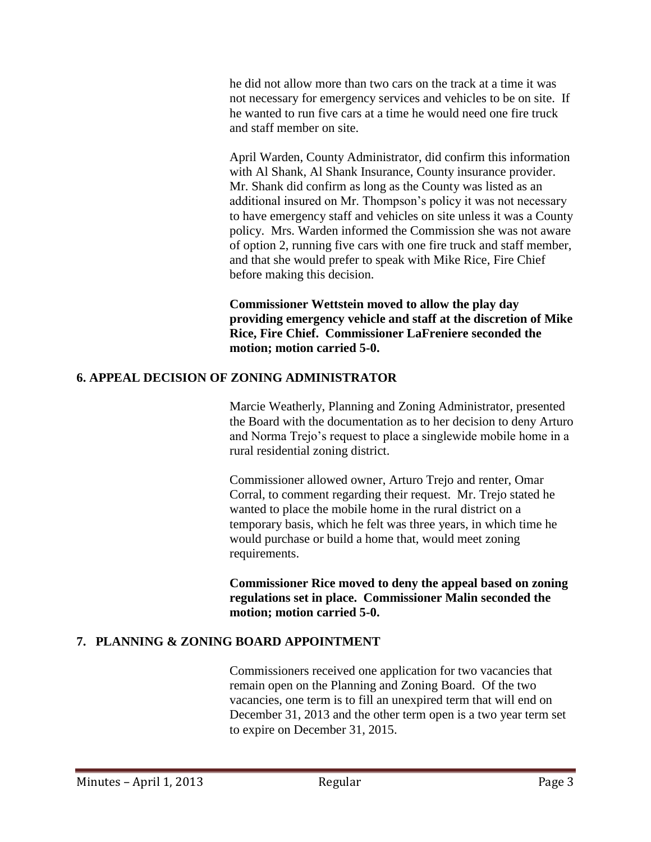he did not allow more than two cars on the track at a time it was not necessary for emergency services and vehicles to be on site. If he wanted to run five cars at a time he would need one fire truck and staff member on site.

April Warden, County Administrator, did confirm this information with Al Shank, Al Shank Insurance, County insurance provider. Mr. Shank did confirm as long as the County was listed as an additional insured on Mr. Thompson's policy it was not necessary to have emergency staff and vehicles on site unless it was a County policy. Mrs. Warden informed the Commission she was not aware of option 2, running five cars with one fire truck and staff member, and that she would prefer to speak with Mike Rice, Fire Chief before making this decision.

**Commissioner Wettstein moved to allow the play day providing emergency vehicle and staff at the discretion of Mike Rice, Fire Chief. Commissioner LaFreniere seconded the motion; motion carried 5-0.**

# **6. APPEAL DECISION OF ZONING ADMINISTRATOR**

Marcie Weatherly, Planning and Zoning Administrator, presented the Board with the documentation as to her decision to deny Arturo and Norma Trejo's request to place a singlewide mobile home in a rural residential zoning district.

Commissioner allowed owner, Arturo Trejo and renter, Omar Corral, to comment regarding their request. Mr. Trejo stated he wanted to place the mobile home in the rural district on a temporary basis, which he felt was three years, in which time he would purchase or build a home that, would meet zoning requirements.

**Commissioner Rice moved to deny the appeal based on zoning regulations set in place. Commissioner Malin seconded the motion; motion carried 5-0.**

# **7. PLANNING & ZONING BOARD APPOINTMENT**

Commissioners received one application for two vacancies that remain open on the Planning and Zoning Board. Of the two vacancies, one term is to fill an unexpired term that will end on December 31, 2013 and the other term open is a two year term set to expire on December 31, 2015.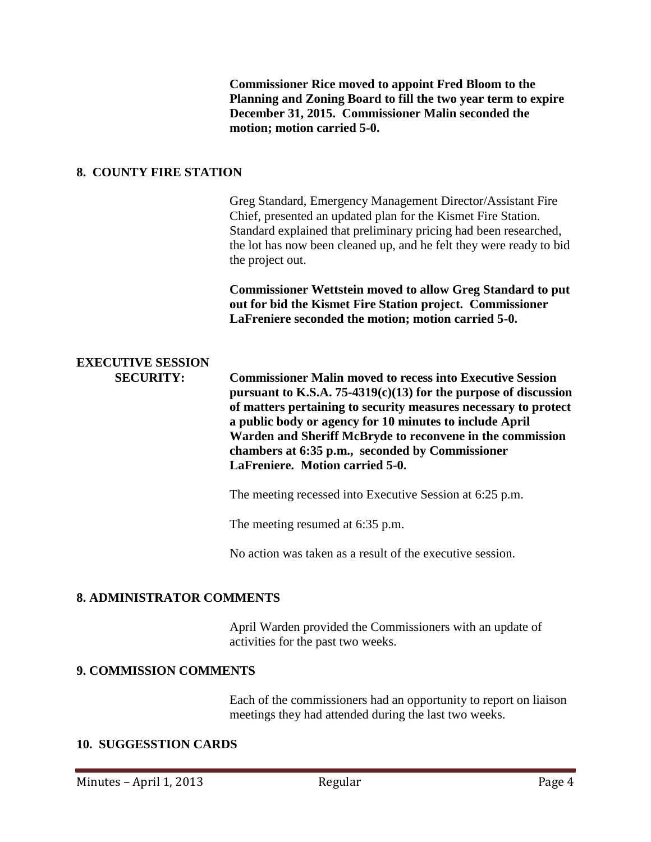**Commissioner Rice moved to appoint Fred Bloom to the Planning and Zoning Board to fill the two year term to expire December 31, 2015. Commissioner Malin seconded the motion; motion carried 5-0.**

#### **8. COUNTY FIRE STATION**

Greg Standard, Emergency Management Director/Assistant Fire Chief, presented an updated plan for the Kismet Fire Station. Standard explained that preliminary pricing had been researched, the lot has now been cleaned up, and he felt they were ready to bid the project out. **Commissioner Wettstein moved to allow Greg Standard to put out for bid the Kismet Fire Station project. Commissioner LaFreniere seconded the motion; motion carried 5-0. EXECUTIVE SESSION SECURITY: Commissioner Malin moved to recess into Executive Session pursuant to K.S.A. 75-4319(c)(13) for the purpose of discussion of matters pertaining to security measures necessary to protect a public body or agency for 10 minutes to include April Warden and Sheriff McBryde to reconvene in the commission chambers at 6:35 p.m., seconded by Commissioner LaFreniere. Motion carried 5-0.** The meeting recessed into Executive Session at 6:25 p.m. The meeting resumed at 6:35 p.m.

No action was taken as a result of the executive session.

### **8. ADMINISTRATOR COMMENTS**

April Warden provided the Commissioners with an update of activities for the past two weeks.

### **9. COMMISSION COMMENTS**

Each of the commissioners had an opportunity to report on liaison meetings they had attended during the last two weeks.

### **10. SUGGESSTION CARDS**